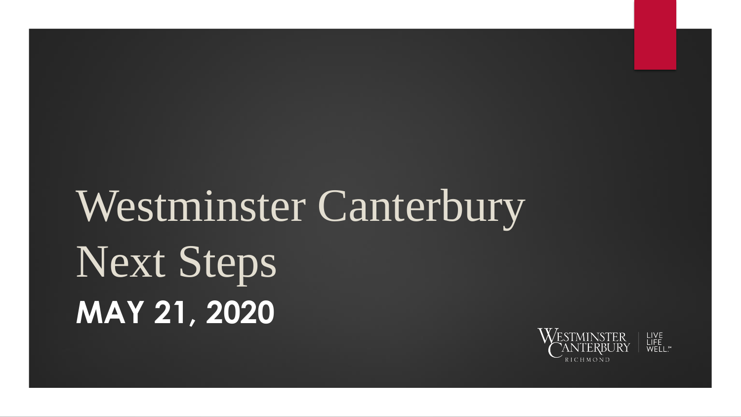### Westminster Canterbury Next Steps **MAY 21, 2020**

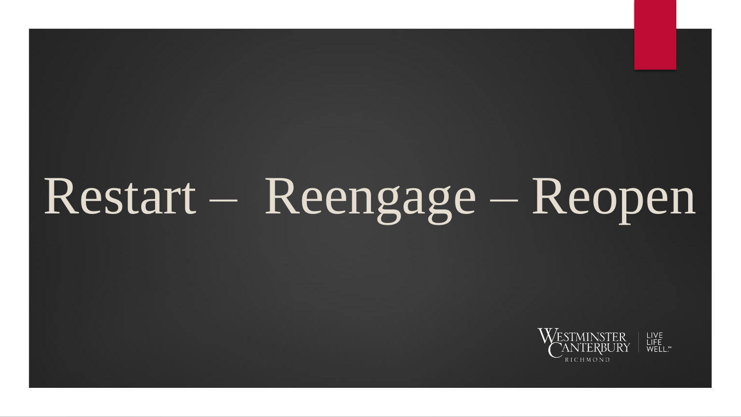# $Restart - Reengage - Reopen$

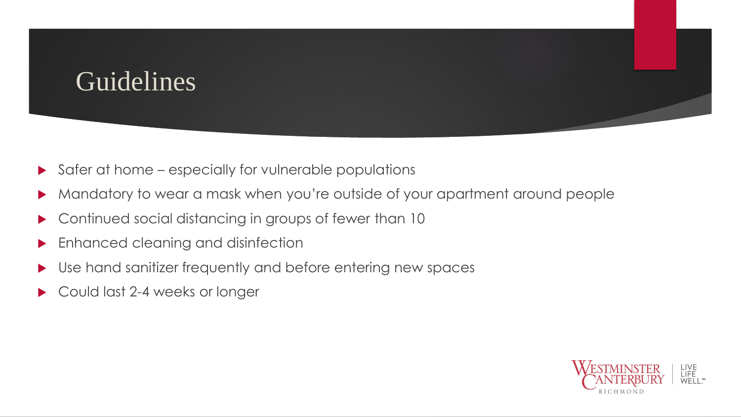#### Guidelines

- Safer at home especially for vulnerable populations
- Mandatory to wear a mask when you're outside of your apartment around people
- Continued social distancing in groups of fewer than 10
- Enhanced cleaning and disinfection
- Use hand sanitizer frequently and before entering new spaces
- Could last 2-4 weeks or longer

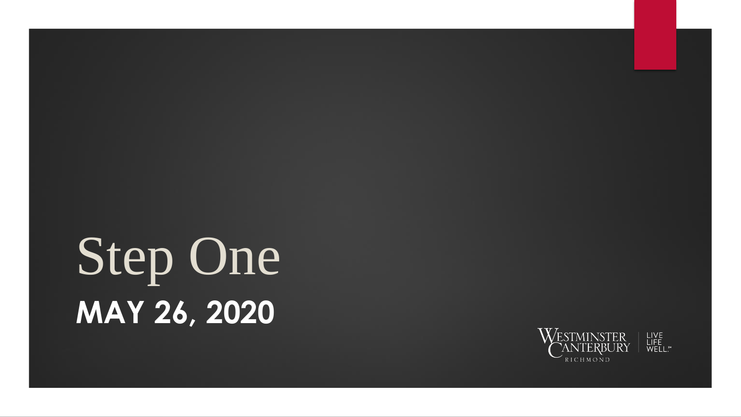# Step One **MAY 26, 2020**

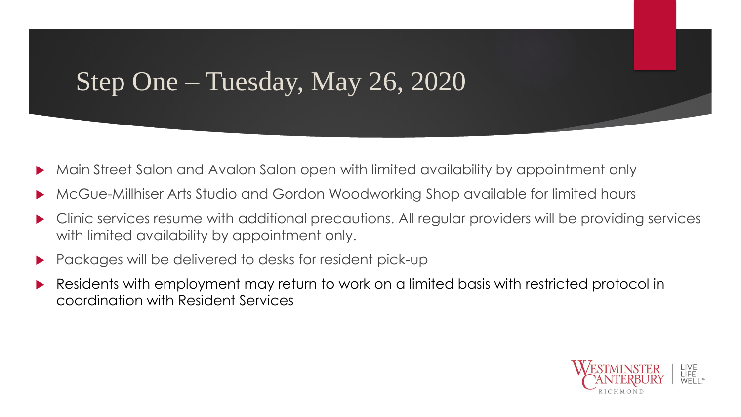#### Step One – Tuesday, May 26, 2020

- Main Street Salon and Avalon Salon open with limited availability by appointment only
- McGue-Millhiser Arts Studio and Gordon Woodworking Shop available for limited hours
- Clinic services resume with additional precautions. All regular providers will be providing services with limited availability by appointment only.
- Packages will be delivered to desks for resident pick-up
- Residents with employment may return to work on a limited basis with restricted protocol in coordination with Resident Services

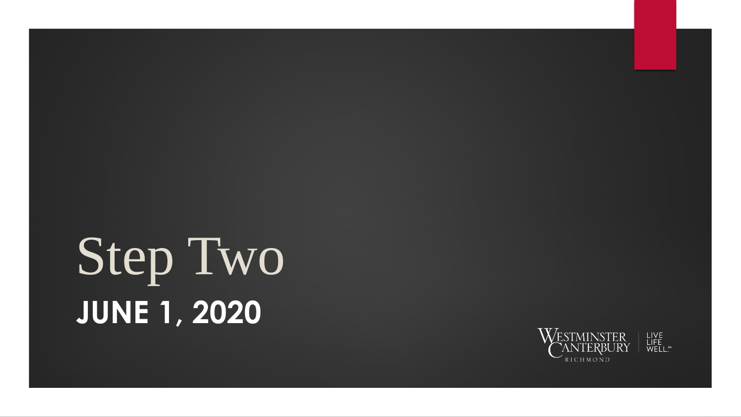## Step Two **JUNE 1, 2020**

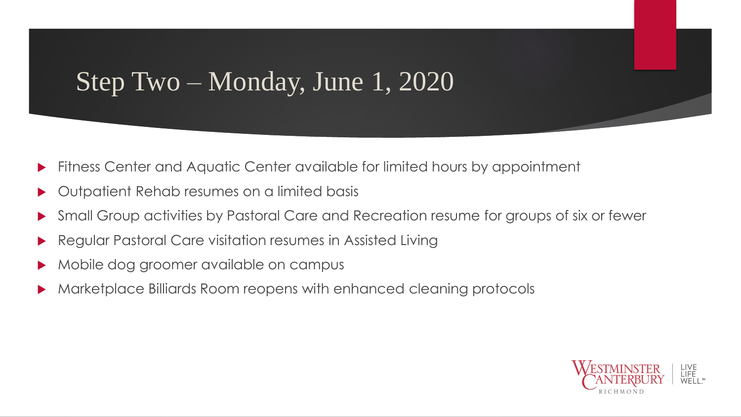#### Step Two – Monday, June 1, 2020

- Fitness Center and Aquatic Center available for limited hours by appointment
- Outpatient Rehab resumes on a limited basis
- Small Group activities by Pastoral Care and Recreation resume for groups of six or fewer
- Regular Pastoral Care visitation resumes in Assisted Living
- Mobile dog groomer available on campus
- Marketplace Billiards Room reopens with enhanced cleaning protocols

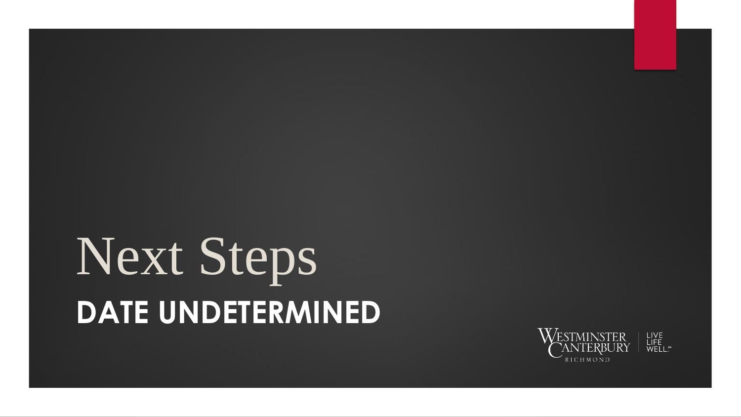### Next Steps **DATE UNDETERMINED**

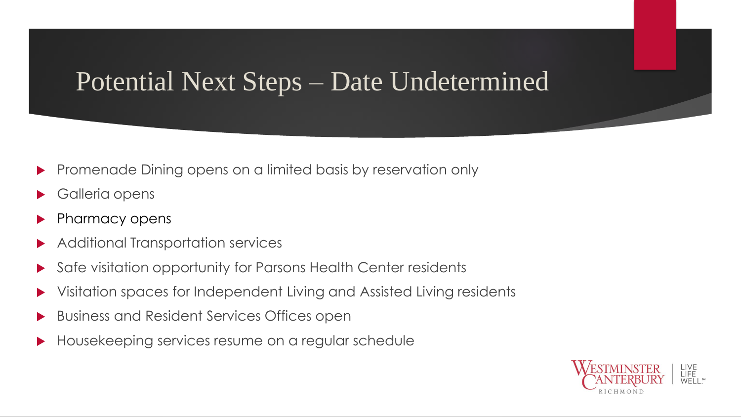#### Potential Next Steps – Date Undetermined

- Promenade Dining opens on a limited basis by reservation only
- Galleria opens
- Pharmacy opens
- Additional Transportation services
- Safe visitation opportunity for Parsons Health Center residents
- Visitation spaces for Independent Living and Assisted Living residents
- Business and Resident Services Offices open
- Housekeeping services resume on a regular schedule